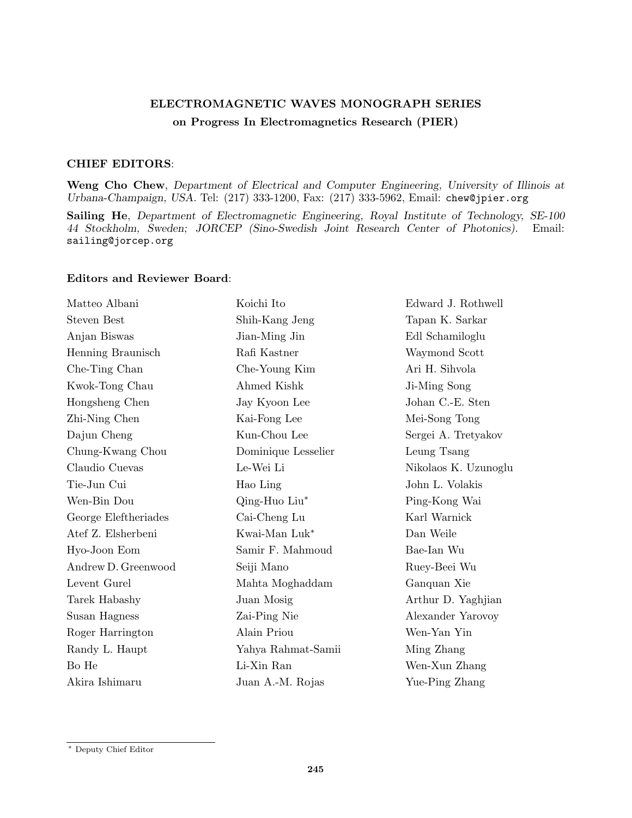## ELECTROMAGNETIC WAVES MONOGRAPH SERIES on Progress In Electromagnetics Research (PIER)

## CHIEF EDITORS:

Weng Cho Chew, Department of Electrical and Computer Engineering, University of Illinois at Urbana-Champaign, USA. Tel: (217) 333-1200, Fax: (217) 333-5962, Email: chew@jpier.org

Sailing He, Department of Electromagnetic Engineering, Royal Institute of Technology, SE-100 44 Stockholm, Sweden; JORCEP (Sino-Swedish Joint Research Center of Photonics). Email: sailing@jorcep.org

## Editors and Reviewer Board:

| Matteo Albani        | Koichi Ito          | Edward J. Rothwell   |
|----------------------|---------------------|----------------------|
| <b>Steven Best</b>   | Shih-Kang Jeng      | Tapan K. Sarkar      |
| Anjan Biswas         | Jian-Ming Jin       | Edl Schamiloglu      |
| Henning Braunisch    | Rafi Kastner        | Waymond Scott        |
| Che-Ting Chan        | Che-Young Kim       | Ari H. Sihvola       |
| Kwok-Tong Chau       | Ahmed Kishk         | Ji-Ming Song         |
| Hongsheng Chen       | Jay Kyoon Lee       | Johan C.-E. Sten     |
| Zhi-Ning Chen        | Kai-Fong Lee        | Mei-Song Tong        |
| Dajun Cheng          | Kun-Chou Lee        | Sergei A. Tretyakov  |
| Chung-Kwang Chou     | Dominique Lesselier | Leung Tsang          |
| Claudio Cuevas       | Le-Wei Li           | Nikolaos K. Uzunoglu |
| Tie-Jun Cui          | Hao Ling            | John L. Volakis      |
| Wen-Bin Dou          | Qing-Huo Liu*       | Ping-Kong Wai        |
| George Eleftheriades | Cai-Cheng Lu        | Karl Warnick         |
| Atef Z. Elsherbeni   | Kwai-Man Luk*       | Dan Weile            |
| Hyo-Joon Eom         | Samir F. Mahmoud    | Bae-Ian Wu           |
| Andrew D. Greenwood  | Seiji Mano          | Ruey-Beei Wu         |
| Levent Gurel         | Mahta Moghaddam     | Ganquan Xie          |
| Tarek Habashy        | Juan Mosig          | Arthur D. Yaghjian   |
| Susan Hagness        | Zai-Ping Nie        | Alexander Yarovoy    |
| Roger Harrington     | Alain Priou         | Wen-Yan Yin          |
| Randy L. Haupt       | Yahya Rahmat-Samii  | Ming Zhang           |
| Bo He                | Li-Xin Ran          | Wen-Xun Zhang        |
| Akira Ishimaru       | Juan A.-M. Rojas    | Yue-Ping Zhang       |

<sup>∗</sup> Deputy Chief Editor